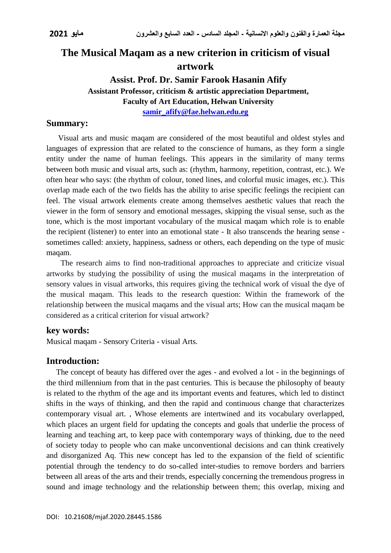# **The Musical Maqam as a new criterion in criticism of visual artwork**

# **Assist. Prof. Dr. Samir Farook Hasanin Afify Assistant Professor, criticism & artistic appreciation Department, Faculty of Art Education, Helwan University**

**[samir\\_afify@fae.helwan.edu.eg](mailto:samir_afify@fae.helwan.edu.eg)**

## **Summary:**

 Visual arts and music maqam are considered of the most beautiful and oldest styles and languages of expression that are related to the conscience of humans, as they form a single entity under the name of human feelings. This appears in the similarity of many terms between both music and visual arts, such as: (rhythm, harmony, repetition, contrast, etc.). We often hear who says: (the rhythm of colour, toned lines, and colorful music images, etc.). This overlap made each of the two fields has the ability to arise specific feelings the recipient can feel. The visual artwork elements create among themselves aesthetic values that reach the viewer in the form of sensory and emotional messages, skipping the visual sense, such as the tone, which is the most important vocabulary of the musical maqam which role is to enable the recipient (listener) to enter into an emotional state - It also transcends the hearing sense sometimes called: anxiety, happiness, sadness or others, each depending on the type of music maqam.

 The research aims to find non-traditional approaches to appreciate and criticize visual artworks by studying the possibility of using the musical maqams in the interpretation of sensory values in visual artworks, this requires giving the technical work of visual the dye of the musical maqam. This leads to the research question: Within the framework of the relationship between the musical maqams and the visual arts; How can the musical maqam be considered as a critical criterion for visual artwork?

## **key words:**

Musical maqam - Sensory Criteria - visual Arts.

## **Introduction:**

 The concept of beauty has differed over the ages - and evolved a lot - in the beginnings of the third millennium from that in the past centuries. This is because the philosophy of beauty is related to the rhythm of the age and its important events and features, which led to distinct shifts in the ways of thinking, and then the rapid and continuous change that characterizes contemporary visual art. , Whose elements are intertwined and its vocabulary overlapped, which places an urgent field for updating the concepts and goals that underlie the process of learning and teaching art, to keep pace with contemporary ways of thinking, due to the need of society today to people who can make unconventional decisions and can think creatively and disorganized Aq. This new concept has led to the expansion of the field of scientific potential through the tendency to do so-called inter-studies to remove borders and barriers between all areas of the arts and their trends, especially concerning the tremendous progress in sound and image technology and the relationship between them; this overlap, mixing and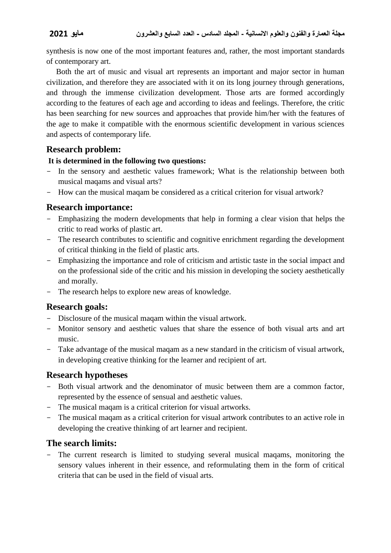synthesis is now one of the most important features and, rather, the most important standards of contemporary art.

 Both the art of music and visual art represents an important and major sector in human civilization, and therefore they are associated with it on its long journey through generations, and through the immense civilization development. Those arts are formed accordingly according to the features of each age and according to ideas and feelings. Therefore, the critic has been searching for new sources and approaches that provide him/her with the features of the age to make it compatible with the enormous scientific development in various sciences and aspects of contemporary life.

## **Research problem:**

### **It is determined in the following two questions:**

- In the sensory and aesthetic values framework; What is the relationship between both musical maqams and visual arts?
- How can the musical maqam be considered as a critical criterion for visual artwork?

## **Research importance:**

- Emphasizing the modern developments that help in forming a clear vision that helps the critic to read works of plastic art.
- The research contributes to scientific and cognitive enrichment regarding the development of critical thinking in the field of plastic arts.
- Emphasizing the importance and role of criticism and artistic taste in the social impact and on the professional side of the critic and his mission in developing the society aesthetically and morally.
- The research helps to explore new areas of knowledge.

## **Research goals:**

- Disclosure of the musical maqam within the visual artwork.
- Monitor sensory and aesthetic values that share the essence of both visual arts and art music.
- Take advantage of the musical maqam as a new standard in the criticism of visual artwork, in developing creative thinking for the learner and recipient of art.

## **Research hypotheses**

- Both visual artwork and the denominator of music between them are a common factor, represented by the essence of sensual and aesthetic values.
- The musical maqam is a critical criterion for visual artworks.
- The musical maqam as a critical criterion for visual artwork contributes to an active role in developing the creative thinking of art learner and recipient.

## **The search limits:**

- The current research is limited to studying several musical maqams, monitoring the sensory values inherent in their essence, and reformulating them in the form of critical criteria that can be used in the field of visual arts.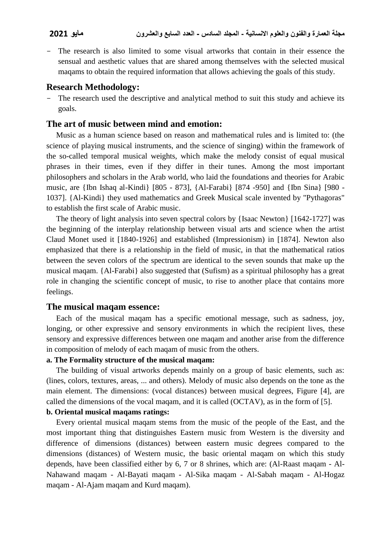The research is also limited to some visual artworks that contain in their essence the sensual and aesthetic values that are shared among themselves with the selected musical maqams to obtain the required information that allows achieving the goals of this study.

## **Research Methodology:**

The research used the descriptive and analytical method to suit this study and achieve its goals.

### **The art of music between mind and emotion:**

 Music as a human science based on reason and mathematical rules and is limited to: (the science of playing musical instruments, and the science of singing) within the framework of the so-called temporal musical weights, which make the melody consist of equal musical phrases in their times, even if they differ in their tunes. Among the most important philosophers and scholars in the Arab world, who laid the foundations and theories for Arabic music, are {Ibn Ishaq al-Kindi} [805 - 873], {Al-Farabi} [874 -950] and {Ibn Sina} [980 - 1037]. {Al-Kindi} they used mathematics and Greek Musical scale invented by "Pythagoras" to establish the first scale of Arabic music.

 The theory of light analysis into seven spectral colors by {Isaac Newton} [1642-1727] was the beginning of the interplay relationship between visual arts and science when the artist Claud Monet used it [1840-1926] and established (Impressionism) in [1874]. Newton also emphasized that there is a relationship in the field of music, in that the mathematical ratios between the seven colors of the spectrum are identical to the seven sounds that make up the musical maqam. {Al-Farabi} also suggested that (Sufism) as a spiritual philosophy has a great role in changing the scientific concept of music, to rise to another place that contains more feelings.

### **The musical maqam essence:**

 Each of the musical maqam has a specific emotional message, such as sadness, joy, longing, or other expressive and sensory environments in which the recipient lives, these sensory and expressive differences between one maqam and another arise from the difference in composition of melody of each maqam of music from the others.

#### **a. The Formality structure of the musical maqam:**

 The building of visual artworks depends mainly on a group of basic elements, such as: (lines, colors, textures, areas, ... and others). Melody of music also depends on the tone as the main element. The dimensions: (vocal distances) between musical degrees, Figure [4], are called the dimensions of the vocal maqam, and it is called (OCTAV), as in the form of [5].

#### **b. Oriental musical maqams ratings:**

 Every oriental musical maqam stems from the music of the people of the East, and the most important thing that distinguishes Eastern music from Western is the diversity and difference of dimensions (distances) between eastern music degrees compared to the dimensions (distances) of Western music, the basic oriental maqam on which this study depends, have been classified either by 6, 7 or 8 shrines, which are: (Al-Raast maqam - Al-Nahawand maqam - Al-Bayati maqam - Al-Sika maqam - Al-Sabah maqam - Al-Hogaz maqam - Al-Ajam maqam and Kurd maqam).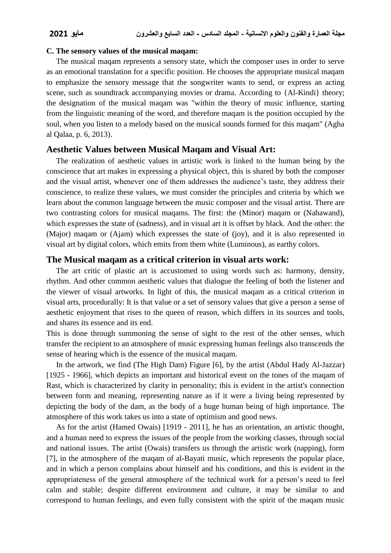#### **C. The sensory values of the musical maqam:**

 The musical maqam represents a sensory state, which the composer uses in order to serve as an emotional translation for a specific position. He chooses the appropriate musical maqam to emphasize the sensory message that the songwriter wants to send, or express an acting scene, such as soundtrack accompanying movies or drama. According to {Al-Kindi} theory; the designation of the musical maqam was "within the theory of music influence, starting from the linguistic meaning of the word, and therefore maqam is the position occupied by the soul, when you listen to a melody based on the musical sounds formed for this maqam" (Agha al Qalaa, p. 6, 2013).

#### **Aesthetic Values between Musical Maqam and Visual Art:**

 The realization of aesthetic values in artistic work is linked to the human being by the conscience that art makes in expressing a physical object, this is shared by both the composer and the visual artist, whenever one of them addresses the audience's taste, they address their conscience, to realize these values, we must consider the principles and criteria by which we learn about the common language between the music composer and the visual artist. There are two contrasting colors for musical maqams. The first: the (Minor) maqam or (Nahawand), which expresses the state of (sadness), and in visual art it is offset by black. And the other: the (Major) maqam or (Ajam) which expresses the state of (joy), and it is also represented in visual art by digital colors, which emits from them white (Luminous), as earthy colors.

#### **The Musical maqam as a critical criterion in visual arts work:**

 The art critic of plastic art is accustomed to using words such as: harmony, density, rhythm. And other common aesthetic values that dialogue the feeling of both the listener and the viewer of visual artworks. In light of this, the musical maqam as a critical criterion in visual arts, procedurally: It is that value or a set of sensory values that give a person a sense of aesthetic enjoyment that rises to the queen of reason, which differs in its sources and tools, and shares its essence and its end.

This is done through summoning the sense of sight to the rest of the other senses, which transfer the recipient to an atmosphere of music expressing human feelings also transcends the sense of hearing which is the essence of the musical maqam.

 In the artwork, we find (The High Dam) Figure [6], by the artist (Abdul Hady Al-Jazzar) [1925 - 1966], which depicts an important and historical event on the tones of the maqam of Rast, which is characterized by clarity in personality; this is evident in the artist's connection between form and meaning, representing nature as if it were a living being represented by depicting the body of the dam, as the body of a huge human being of high importance. The atmosphere of this work takes us into a state of optimism and good news.

 As for the artist (Hamed Owais) [1919 - 2011], he has an orientation, an artistic thought, and a human need to express the issues of the people from the working classes, through social and national issues. The artist (Owais) transfers us through the artistic work (napping), form [7], in the atmosphere of the maqam of al-Bayati music, which represents the popular place, and in which a person complains about himself and his conditions, and this is evident in the appropriateness of the general atmosphere of the technical work for a person's need to feel calm and stable; despite different environment and culture, it may be similar to and correspond to human feelings, and even fully consistent with the spirit of the maqam music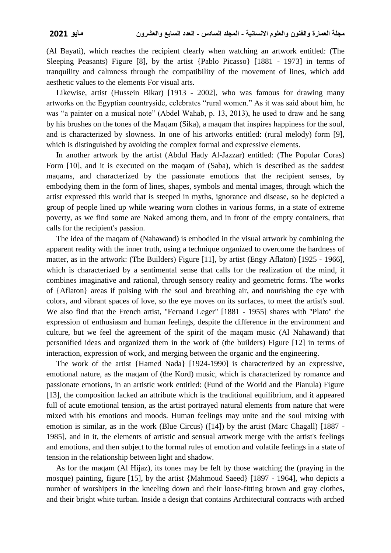(Al Bayati), which reaches the recipient clearly when watching an artwork entitled: (The Sleeping Peasants) Figure [8], by the artist {Pablo Picasso} [1881 - 1973] in terms of tranquility and calmness through the compatibility of the movement of lines, which add aesthetic values to the elements For visual arts.

 Likewise, artist (Hussein Bikar) [1913 - 2002], who was famous for drawing many artworks on the Egyptian countryside, celebrates "rural women." As it was said about him, he was "a painter on a musical note" (Abdel Wahab, p. 13, 2013), he used to draw and he sang by his brushes on the tones of the Maqam (Sika), a maqam that inspires happiness for the soul, and is characterized by slowness. In one of his artworks entitled: (rural melody) form [9], which is distinguished by avoiding the complex formal and expressive elements.

 In another artwork by the artist (Abdul Hady Al-Jazzar) entitled: (The Popular Coras) Form [10], and it is executed on the maqam of (Saba), which is described as the saddest maqams, and characterized by the passionate emotions that the recipient senses, by embodying them in the form of lines, shapes, symbols and mental images, through which the artist expressed this world that is steeped in myths, ignorance and disease, so he depicted a group of people lined up while wearing worn clothes in various forms, in a state of extreme poverty, as we find some are Naked among them, and in front of the empty containers, that calls for the recipient's passion.

 The idea of the maqam of (Nahawand) is embodied in the visual artwork by combining the apparent reality with the inner truth, using a technique organized to overcome the hardness of matter, as in the artwork: (The Builders) Figure [11], by artist (Engy Aflaton) [1925 - 1966], which is characterized by a sentimental sense that calls for the realization of the mind, it combines imaginative and rational, through sensory reality and geometric forms. The works of {Aflaton} areas if pulsing with the soul and breathing air, and nourishing the eye with colors, and vibrant spaces of love, so the eye moves on its surfaces, to meet the artist's soul. We also find that the French artist, "Fernand Leger" [1881 - 1955] shares with "Plato" the expression of enthusiasm and human feelings, despite the difference in the environment and culture, but we feel the agreement of the spirit of the maqam music (Al Nahawand) that personified ideas and organized them in the work of (the builders) Figure [12] in terms of interaction, expression of work, and merging between the organic and the engineering.

 The work of the artist {Hamed Nada} [1924-1990] is characterized by an expressive, emotional nature, as the maqam of (the Kord) music, which is characterized by romance and passionate emotions, in an artistic work entitled: (Fund of the World and the Pianula) Figure [13], the composition lacked an attribute which is the traditional equilibrium, and it appeared full of acute emotional tension, as the artist portrayed natural elements from nature that were mixed with his emotions and moods. Human feelings may unite and the soul mixing with emotion is similar, as in the work (Blue Circus) ([14]) by the artist (Marc Chagall) [1887 - 1985], and in it, the elements of artistic and sensual artwork merge with the artist's feelings and emotions, and then subject to the formal rules of emotion and volatile feelings in a state of tension in the relationship between light and shadow.

 As for the maqam (Al Hijaz), its tones may be felt by those watching the (praying in the mosque) painting, figure [15], by the artist {Mahmoud Saeed} [1897 - 1964], who depicts a number of worshipers in the kneeling down and their loose-fitting brown and gray clothes, and their bright white turban. Inside a design that contains Architectural contracts with arched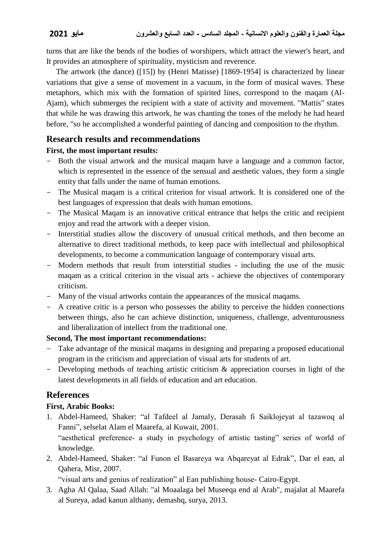turns that are like the bends of the bodies of worshipers, which attract the viewer's heart, and It provides an atmosphere of spirituality, mysticism and reverence.

 The artwork (the dance) ([15]) by (Henri Matisse) [1869-1954] is characterized by linear variations that give a sense of movement in a vacuum, in the form of musical waves. These metaphors, which mix with the formation of spirited lines, correspond to the maqam (Al-Ajam), which submerges the recipient with a state of activity and movement. "Mattis" states that while he was drawing this artwork, he was chanting the tones of the melody he had heard before, "so he accomplished a wonderful painting of dancing and composition to the rhythm.

## **Research results and recommendations**

## **First, the most important results:**

- Both the visual artwork and the musical maqam have a language and a common factor, which is represented in the essence of the sensual and aesthetic values, they form a single entity that falls under the name of human emotions.
- The Musical maqam is a critical criterion for visual artwork. It is considered one of the best languages of expression that deals with human emotions.
- The Musical Maqam is an innovative critical entrance that helps the critic and recipient enjoy and read the artwork with a deeper vision.
- Interstitial studies allow the discovery of unusual critical methods, and then become an alternative to direct traditional methods, to keep pace with intellectual and philosophical developments, to become a communication language of contemporary visual arts.
- Modern methods that result from interstitial studies including the use of the music maqam as a critical criterion in the visual arts - achieve the objectives of contemporary criticism.
- Many of the visual artworks contain the appearances of the musical maqams.
- A creative critic is a person who possesses the ability to perceive the hidden connections between things, also he can achieve distinction, uniqueness, challenge, adventurousness and liberalization of intellect from the traditional one.

## **Second, The most important recommendations:**

- Take advantage of the musical magams in designing and preparing a proposed educational program in the criticism and appreciation of visual arts for students of art.
- Developing methods of teaching artistic criticism & appreciation courses in light of the latest developments in all fields of education and art education.

## **References**

## **First, Arabic Books:**

1. Abdel-Hameed, Shaker: "al Tafdeel al Jamaly, Derasah fi Saiklojeyat al tazawoq al Fanni", selselat Alam el Maarefa, al Kuwait, 2001. "aesthetical preference- a study in psychology of artistic tasting" series of world of

knowledge.

2. Abdel-Hameed, Shaker: "al Funon el Basareya wa Abqareyat al Edrak", Dar el ean, al Qahera, Misr, 2007.

"visual arts and genius of realization" al Ean publishing house- Cairo-Egypt.

3. Agha Al Qalaa, Saad Allah: "al Moaalaga bel Museeqa end al Arab", majalat al Maarefa al Sureya, adad kanun althany, demashq, surya, 2013.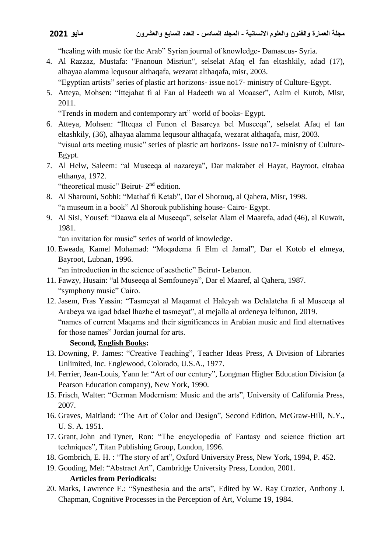"healing with music for the Arab" Syrian journal of knowledge- Damascus- Syria.

4. Al Razzaz, Mustafa: "Fnanoun Misriun", selselat Afaq el fan eltashkily, adad (17), alhayaa alamma lequsour althaqafa, wezarat althaqafa, misr, 2003.

"Egyptian artists" series of plastic art horizons- issue no17- ministry of Culture-Egypt.

5. Atteya, Mohsen: "Ittejahat fi al Fan al Hadeeth wa al Moaaser", Aalm el Kutob, Misr, 2011.

"Trends in modern and contemporary art" world of books- Egypt.

- 6. Atteya, Mohsen: "Ilteqaa el Funon el Basareya bel Museeqa", selselat Afaq el fan eltashkily, (36), alhayaa alamma lequsour althaqafa, wezarat althaqafa, misr, 2003. "visual arts meeting music" series of plastic art horizons- issue no17- ministry of Culture-Egypt.
- 7. Al Helw, Saleem: "al Museeqa al nazareya", Dar maktabet el Hayat, Bayroot, eltabaa elthanya, 1972.

"theoretical music" Beirut- 2<sup>nd</sup> edition.

- 8. Al Sharouni, Sobhi: "Mathaf fi Ketab", Dar el Shorouq, al Qahera, Misr, 1998. "a museum in a book" Al Shorouk publishing house- Cairo- Egypt.
- 9. Al Sisi, Yousef: "Daawa ela al Museeqa", selselat Alam el Maarefa, adad (46), al Kuwait, 1981.

"an invitation for music" series of world of knowledge.

10. Eweada, Kamel Mohamad: "Moqadema fi Elm el Jamal", Dar el Kotob el elmeya, Bayroot, Lubnan, 1996.

"an introduction in the science of aesthetic" Beirut- Lebanon.

- 11. Fawzy, Husain: "al Museeqa al Semfouneya", Dar el Maaref, al Qahera, 1987. "symphony music" Cairo.
- 12. Jasem, Fras Yassin: "Tasmeyat al Maqamat el Haleyah wa Delalateha fi al Museeqa al Arabeya wa igad bdael lhazhe el tasmeyat", al mejalla al ordeneya lelfunon, 2019. "names of current Maqams and their significances in Arabian music and find alternatives for those names" Jordan journal for arts.

## **Second, English Books:**

- 13. Downing, P. James: "Creative Teaching", Teacher Ideas Press, A Division of Libraries Unlimited, Inc. Englewood, Colorado, U.S.A., 1977.
- 14. Ferrier, Jean-Louis, Yann le: "Art of our century", Longman Higher Education Division (a Pearson Education company), New York, 1990.
- 15. Frisch, Walter: "German Modernism: Music and the arts", University of California Press, 2007.
- 16. Graves, Maitland: "The Art of Color and Design", Second Edition, McGraw-Hill, N.Y., U. S. A. 1951.
- 17. Grant, John and Tyner, Ron: "The encyclopedia of Fantasy and science friction art techniques", Titan Publishing Group, London, 1996.
- 18. Gombrich, [E. H. :](https://openlibrary.org/authors/OL54037A/E._H._Gombrich) "The story of art", Oxford University Press, New York, 1994, P. 452.
- 19. Gooding, Mel: "Abstract Art", Cambridge University Press, London, 2001.

## **Articles from Periodicals:**

20. Marks, Lawrence E.: "Synesthesia and the arts", Edited by W. Ray Crozier, Anthony J. Chapman, Cognitive Processes in the Perception of Art, Volume 19, 1984.